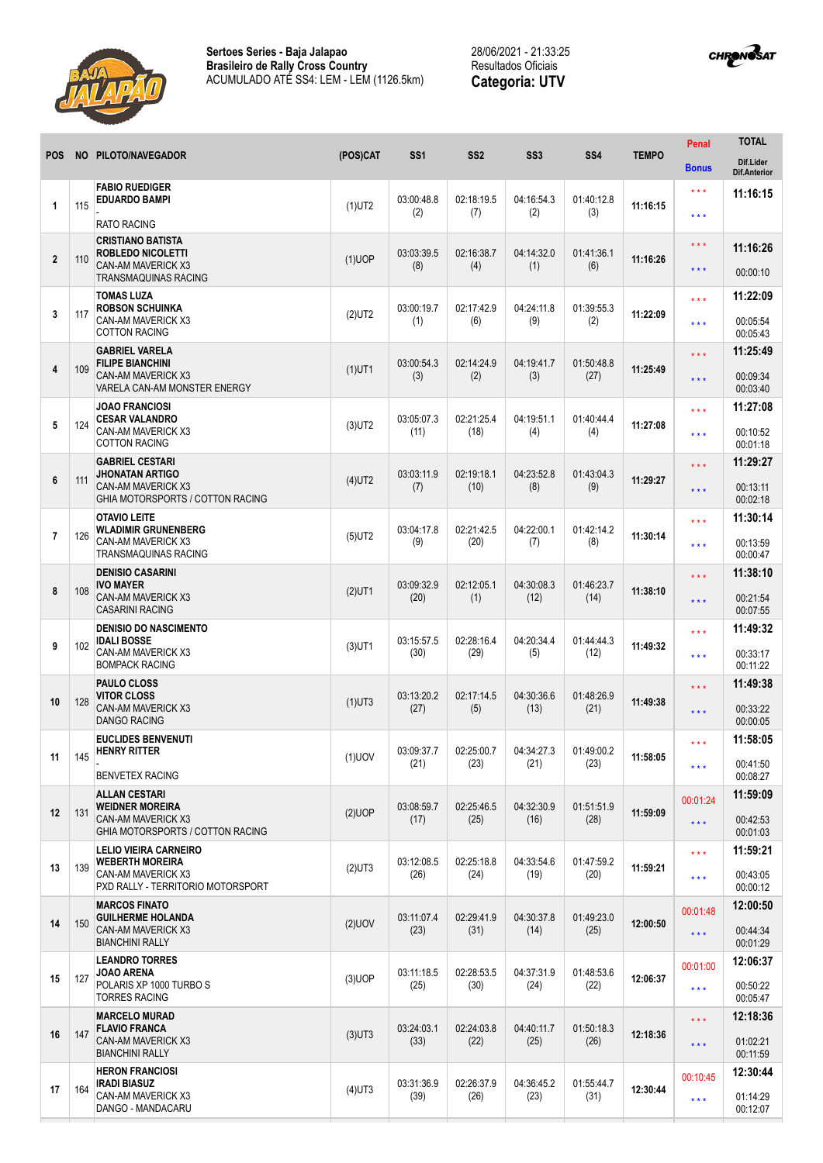



| <b>POS</b>     |     | NO PILOTO/NAVEGADOR                                                                                               | (POS)CAT  | SS <sub>1</sub>    | SS <sub>2</sub>    | SS <sub>3</sub>    | SS <sub>4</sub>               | <b>TEMPO</b> | Penal                   | <b>TOTAL</b>                     |
|----------------|-----|-------------------------------------------------------------------------------------------------------------------|-----------|--------------------|--------------------|--------------------|-------------------------------|--------------|-------------------------|----------------------------------|
|                |     |                                                                                                                   |           |                    |                    |                    |                               |              | <b>Bonus</b>            | Dif.Lider<br><b>Dif.Anterior</b> |
| 1              |     | <b>FABIO RUEDIGER</b><br><b>EDUARDO BAMPI</b>                                                                     |           | 03:00:48.8         | 02:18:19.5         | 04:16:54.3         | 01:40:12.8<br>11:16:15<br>(3) |              | $***$                   | 11:16:15                         |
|                | 115 | <b>RATO RACING</b>                                                                                                | $(1)$ UT2 | (2)                | (7)                | (2)                |                               |              | $***$                   |                                  |
|                | 110 | <b>CRISTIANO BATISTA</b><br><b>ROBLEDO NICOLETTI</b>                                                              |           | 03:03:39.5         | 02:16:38.7<br>(4)  | 04:14:32.0<br>(1)  | 01:41:36.1<br>(6)             | 11:16:26     | $***$                   | 11:16:26                         |
| $\overline{2}$ |     | <b>CAN-AM MAVERICK X3</b><br>TRANSMAQUINAS RACING                                                                 | $(1)$ UOP | (8)                |                    |                    |                               |              | $***$                   | 00:00:10                         |
|                |     | <b>TOMAS LUZA</b>                                                                                                 |           |                    |                    |                    |                               |              | $***$                   | 11:22:09                         |
| 3              | 117 | <b>ROBSON SCHUINKA</b><br>CAN-AM MAVERICK X3<br><b>COTTON RACING</b>                                              | $(2)$ UT2 | 03:00:19.7<br>(1)  | 02:17:42.9<br>(6)  | 04:24:11.8<br>(9)  | 01:39:55.3<br>(2)             | 11:22:09     | $\star \star \star$     | 00:05:54<br>00:05:43             |
|                | 109 | <b>GABRIEL VARELA</b><br><b>FILIPE BIANCHINI</b><br><b>CAN-AM MAVERICK X3</b><br>VARELA CAN-AM MONSTER ENERGY     | $(1)$ UT1 | 03:00:54.3<br>(3)  | 02:14:24.9<br>(2)  | 04:19:41.7<br>(3)  | 01:50:48.8<br>(27)            | 11:25:49     | $\star \star \star$     | 11:25:49                         |
| 4              |     |                                                                                                                   |           |                    |                    |                    |                               |              | $\star \star \star$     | 00:09:34<br>00:03:40             |
|                |     | <b>JOAO FRANCIOSI</b><br><b>CESAR VALANDRO</b><br>CAN-AM MAVERICK X3<br><b>COTTON RACING</b>                      | $(3)$ UT2 | 03:05:07.3<br>(11) | 02:21:25.4<br>(18) | 04:19:51.1<br>(4)  | 01:40:44.4<br>(4)             | 11:27:08     | $***$                   | 11:27:08                         |
| 5              | 124 |                                                                                                                   |           |                    |                    |                    |                               |              | $***$                   | 00:10:52<br>00:01:18             |
| 6              | 111 | <b>GABRIEL CESTARI</b><br><b>JHONATAN ARTIGO</b><br><b>CAN-AM MAVERICK X3</b><br>GHIA MOTORSPORTS / COTTON RACING | $(4)$ UT2 | 03:03:11.9         | 02:19:18.1         | 04:23:52.8         | 01:43:04.3<br>(9)             | 11:29:27     | $* * *$                 | 11:29:27                         |
|                |     |                                                                                                                   |           | (7)                | (10)               | (8)                |                               |              | $***$                   | 00:13:11<br>00:02:18             |
|                |     | <b>OTAVIO LEITE</b><br><b>WLADIMIR GRUNENBERG</b><br>CAN-AM MAVERICK X3<br><b>TRANSMAQUINAS RACING</b>            | $(5)$ UT2 | 03:04:17.8<br>(9)  | 02:21:42.5<br>(20) | 04:22:00.1<br>(7)  | 01:42:14.2<br>(8)             | 11:30:14     | $***$                   | 11:30:14                         |
| $\overline{7}$ | 126 |                                                                                                                   |           |                    |                    |                    |                               |              | $\star \star \star$     | 00:13:59<br>00:00:47             |
| 8              | 108 | <b>DENISIO CASARINI</b><br><b>IVO MAYER</b><br><b>CAN-AM MAVERICK X3</b><br><b>CASARINI RACING</b>                | $(2)$ UT1 | 03:09:32.9<br>(20) | 02:12:05.1<br>(1)  | 04:30:08.3<br>(12) | 01:46:23.7<br>(14)            | 11:38:10     | $***$                   | 11:38:10                         |
|                |     |                                                                                                                   |           |                    |                    |                    |                               |              | $\star \star \star$     | 00:21:54<br>00:07:55             |
| 9              | 102 | <b>DENISIO DO NASCIMENTO</b><br><b>IDALI BOSSE</b><br>CAN-AM MAVERICK X3<br><b>BOMPACK RACING</b>                 | $(3)$ UT1 | 03:15:57.5<br>(30) | 02:28:16.4<br>(29) | 04:20:34.4<br>(5)  | 01:44:44.3<br>(12)            | 11:49:32     | $***$                   | 11:49:32                         |
|                |     |                                                                                                                   |           |                    |                    |                    |                               |              | $***$                   | 00:33:17<br>00:11:22             |
|                | 128 | <b>PAULO CLOSS</b><br><b>VITOR CLOSS</b><br><b>CAN-AM MAVERICK X3</b><br><b>DANGO RACING</b>                      | $(1)$ UT3 | 03:13:20.2<br>(27) | 02:17:14.5<br>(5)  | 04:30:36.6<br>(13) | 01:48:26.9<br>(21)            | 11:49:38     | $* * *$                 | 11:49:38                         |
| 10             |     |                                                                                                                   |           |                    |                    |                    |                               |              | $\star$ $\star$ $\star$ | 00:33:22<br>00:00:05             |
|                | 145 | <b>EUCLIDES BENVENUTI</b><br><b>HENRY RITTER</b>                                                                  |           | 03:09:37.7         | 02:25:00.7         | 04:34:27.3         | 01:49:00.2<br>(23)            | 11:58:05     | $***$                   | 11:58:05                         |
| 11             |     | <b>BENVETEX RACING</b>                                                                                            | $(1)$ UOV | (21)               | (23)               | (21)               |                               |              | $\star\star\star$       | 00:41:50<br>00:08:27             |
|                |     | <b>ALLAN CESTARI</b><br><b>WEIDNER MOREIRA</b>                                                                    |           | 03:08:59.7         | 02:25:46.5         | 04:32:30.9         | 01:51:51.9                    |              | 00:01:24                | 11:59:09                         |
| 12             | 131 | <b>CAN-AM MAVERICK X3</b><br>GHIA MOTORSPORTS / COTTON RACING                                                     | $(2)$ UOP | (17)               | (25)               | (16)               | (28)                          | 11:59:09     | $\star\star\star$       | 00:42:53<br>00:01:03             |
|                | 139 | <b>LELIO VIEIRA CARNEIRO</b><br><b>WEBERTH MOREIRA</b><br>CAN-AM MAVERICK X3<br>PXD RALLY - TERRITORIO MOTORSPORT | $(2)$ UT3 | 03:12:08.5<br>(26) | 02:25:18.8<br>(24) | 04:33:54.6<br>(19) | 01:47:59.2<br>(20)            | 11:59:21     | $***$                   | 11:59:21                         |
| 13             |     |                                                                                                                   |           |                    |                    |                    |                               |              | $\star\star\star$       | 00:43:05<br>00:00:12             |
| 14             | 150 | <b>MARCOS FINATO</b><br><b>GUILHERME HOLANDA</b><br>CAN-AM MAVERICK X3<br><b>BIANCHINI RALLY</b>                  | $(2)$ UOV | 03:11:07.4<br>(23) | 02:29:41.9         | 04:30:37.8<br>(14) | 01:49:23.0<br>(25)            | 12:00:50     | 00:01:48                | 12:00:50                         |
|                |     |                                                                                                                   |           |                    | (31)               |                    |                               |              | $\star$ $\star$ $\star$ | 00:44:34<br>00:01:29             |
| 15             | 127 | <b>LEANDRO TORRES</b><br><b>JOAO ARENA</b><br>POLARIS XP 1000 TURBO S<br><b>TORRES RACING</b>                     | $(3)$ UOP | 03:11:18.5<br>(25) | 02:28:53.5<br>(30) | 04:37:31.9<br>(24) | 01:48:53.6<br>(22)            | 12:06:37     | 00:01:00                | 12:06:37                         |
|                |     |                                                                                                                   |           |                    |                    |                    |                               |              | $\star\star\star$       | 00:50:22<br>00:05:47             |
|                |     | <b>MARCELO MURAD</b><br><b>FLAVIO FRANCA</b><br><b>CAN-AM MAVERICK X3</b><br><b>BIANCHINI RALLY</b>               | $(3)$ UT3 | 03:24:03.1<br>(33) | 02:24:03.8<br>(22) | 04:40:11.7<br>(25) | 01:50:18.3<br>(26)            | 12:18:36     | $\star \star \star$     | 12:18:36                         |
| 16             | 147 |                                                                                                                   |           |                    |                    |                    |                               |              | $\star \star \star$     | 01:02:21<br>00:11:59             |
|                | 164 | <b>HERON FRANCIOSI</b><br><b>IRADI BIASUZ</b><br>CAN-AM MAVERICK X3<br>DANGO - MANDACARU                          |           | 03:31:36.9<br>(39) | 02:26:37.9<br>(26) | 04:36:45.2<br>(23) | 01:55:44.7<br>(31)            | 12:30:44     | 00:10:45                | 12:30:44                         |
| 17             |     |                                                                                                                   | $(4)$ UT3 |                    |                    |                    |                               |              | $\star\star\star$       | 01:14:29<br>00:12:07             |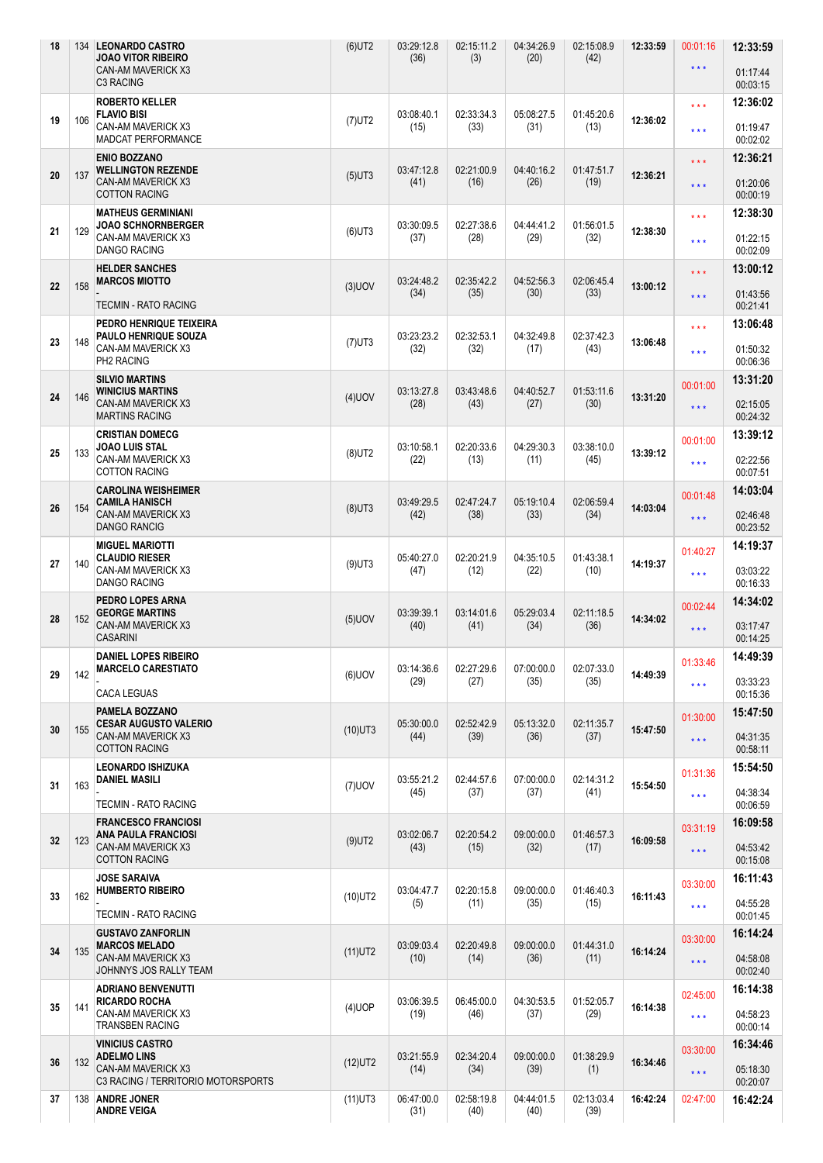| 18 |     | 134 LEONARDO CASTRO<br><b>JOAO VITOR RIBEIRO</b><br><b>CAN-AM MAVERICK X3</b><br><b>C3 RACING</b>       | $(6)$ UT2  | 03:29:12.8<br>(36) | 02:15:11.2<br>(3)  | 04:34:26.9<br>(20) | 02:15:08.9<br>(42) | 12:33:59 | 00:01:16<br>$\star$ $\star$ $\star$ | 12:33:59<br>01:17:44<br>00:03:15 |
|----|-----|---------------------------------------------------------------------------------------------------------|------------|--------------------|--------------------|--------------------|--------------------|----------|-------------------------------------|----------------------------------|
|    |     | <b>ROBERTO KELLER</b>                                                                                   |            |                    |                    |                    |                    |          | $***$                               | 12:36:02                         |
| 19 | 106 | <b>FLAVIO BISI</b><br><b>CAN-AM MAVERICK X3</b><br>MADCAT PERFORMANCE                                   | $(7)$ UT2  | 03:08:40.1<br>(15) | 02:33:34.3<br>(33) | 05:08:27.5<br>(31) | 01:45:20.6<br>(13) | 12:36:02 | $\star \star \star$                 | 01:19:47<br>00:02:02             |
|    |     | <b>ENIO BOZZANO</b>                                                                                     |            |                    |                    |                    |                    |          | $***$                               | 12:36:21                         |
| 20 | 137 | <b>WELLINGTON REZENDE</b><br>CAN-AM MAVERICK X3<br><b>COTTON RACING</b>                                 | $(5)$ UT3  | 03:47:12.8<br>(41) | 02:21:00.9<br>(16) | 04:40:16.2<br>(26) | 01:47:51.7<br>(19) | 12:36:21 | $\star \star \star$                 | 01:20:06<br>00:00:19             |
|    |     | <b>MATHEUS GERMINIANI</b><br><b>JOAO SCHNORNBERGER</b>                                                  |            | 03:30:09.5         | 02:27:38.6         | 04:44:41.2         | 01:56:01.5         |          | $\star$ $\star$ $\star$             | 12:38:30                         |
| 21 | 129 | CAN-AM MAVERICK X3<br><b>DANGO RACING</b>                                                               | $(6)$ UT3  | (37)               | (28)               | (29)               | (32)               | 12:38:30 | $\star$ $\star$ $\star$             | 01:22:15<br>00:02:09             |
|    |     | <b>HELDER SANCHES</b><br><b>MARCOS MIOTTO</b>                                                           |            | 03:24:48.2         | 02:35:42.2         | 04:52:56.3         | 02:06:45.4         |          | $***$                               | 13:00:12                         |
| 22 | 158 | <b>TECMIN - RATO RACING</b>                                                                             | $(3)$ UOV  | (34)               | (35)               | (30)               | (33)               | 13:00:12 | $\star \star \star$                 | 01:43:56<br>00:21:41             |
|    |     | PEDRO HENRIQUE TEIXEIRA<br>PAULO HENRIQUE SOUZA<br><b>CAN-AM MAVERICK X3</b><br>PH2 RACING              |            | 03:23:23.2<br>(32) | 02:32:53.1<br>(32) | 04:32:49.8         | 02:37:42.3<br>(43) | 13:06:48 | $***$                               | 13:06:48                         |
| 23 | 148 |                                                                                                         | $(7)$ UT3  |                    |                    | (17)               |                    |          | $***$                               | 01:50:32<br>00:06:36             |
|    |     | <b>SILVIO MARTINS</b><br><b>WINICIUS MARTINS</b>                                                        |            | 03:13:27.8         | 03:43:48.6         | 04:40:52.7         | 01:53:11.6         |          | 00:01:00                            | 13:31:20                         |
| 24 | 146 | CAN-AM MAVERICK X3<br><b>MARTINS RACING</b>                                                             | $(4)$ UOV  | (28)               | (43)               | (27)               | (30)               | 13:31:20 | $\star \star \star$                 | 02:15:05<br>00:24:32             |
| 25 |     | <b>CRISTIAN DOMECG</b><br><b>JOAO LUIS STAL</b>                                                         |            | 03:10:58.1         | 02:20:33.6         | 04:29:30.3         | 03:38:10.0         |          | 00:01:00                            | 13:39:12                         |
|    | 133 | CAN-AM MAVERICK X3<br><b>COTTON RACING</b>                                                              | $(8)$ UT2  | (22)               | (13)               | (11)               | (45)               | 13:39:12 | $\star\star\star$                   | 02:22:56<br>00:07:51             |
| 26 |     | <b>CAROLINA WEISHEIMER</b><br><b>CAMILA HANISCH</b><br><b>CAN-AM MAVERICK X3</b><br><b>DANGO RANCIG</b> | $(8)$ UT3  | 03:49:29.5         | 02:47:24.7<br>(38) | 05:19:10.4<br>(33) | 02:06:59.4<br>(34) | 14:03:04 | 00:01:48                            | 14:03:04                         |
|    | 154 |                                                                                                         |            | (42)               |                    |                    |                    |          | $\star$ $\star$ $\star$             | 02:46:48<br>00:23:52             |
|    |     | <b>MIGUEL MARIOTTI</b><br><b>CLAUDIO RIESER</b>                                                         | $(9)$ UT3  | 05:40:27.0<br>(47) | 02:20:21.9<br>(12) | 04:35:10.5         | 01:43:38.1<br>(10) | 14:19:37 | 01:40:27                            | 14:19:37                         |
| 27 | 140 | CAN-AM MAVERICK X3<br><b>DANGO RACING</b>                                                               |            |                    |                    | (22)               |                    |          | $\star\star\star$                   | 03:03:22<br>00:16:33             |
|    |     | PEDRO LOPES ARNA                                                                                        |            |                    |                    |                    |                    |          |                                     | 14:34:02                         |
| 28 | 152 | <b>GEORGE MARTINS</b><br>CAN-AM MAVERICK X3<br><b>CASARINI</b>                                          | $(5)$ UOV  | 03:39:39.1<br>(40) | 03:14:01.6<br>(41) | 05:29:03.4<br>(34) | 02:11:18.5<br>(36) | 14:34:02 | 00:02:44<br>$***$                   | 03:17:47<br>00:14:25             |
|    | 142 | <b>DANIEL LOPES RIBEIRO</b>                                                                             |            |                    |                    |                    |                    | 14:49:39 | 01:33:46                            | 14:49:39                         |
| 29 |     | <b>MARCELO CARESTIATO</b>                                                                               | $(6)$ UOV  | 03:14:36.6<br>(29) | 02:27:29.6<br>(27) | 07:00:00.0<br>(35) | 02:07:33.0<br>(35) |          | $\star\star\star$                   | 03:33:23                         |
|    |     | <b>CACA LEGUAS</b>                                                                                      |            |                    |                    |                    |                    |          |                                     | 00:15:36                         |
| 30 | 155 | <b>PAMELA BOZZANO</b><br><b>CESAR AUGUSTO VALERIO</b>                                                   | $(10)$ UT3 | 05:30:00.0<br>(44) | 02:52:42.9<br>(39) | 05:13:32.0<br>(36) | 02:11:35.7         | 15:47:50 | 01:30:00                            | 15:47:50                         |
|    |     | <b>CAN-AM MAVERICK X3</b><br><b>COTTON RACING</b>                                                       |            |                    |                    |                    | (37)               |          | $\star\star\star$                   | 04:31:35<br>00:58:11             |
|    |     | <b>LEONARDO ISHIZUKA</b>                                                                                |            |                    |                    |                    |                    |          | 01:31:36                            | 15:54:50                         |
| 31 | 163 | <b>DANIEL MASILI</b>                                                                                    | $(7)$ UOV  | 03:55:21.2<br>(45) | 02:44:57.6<br>(37) | 07:00:00.0<br>(37) | 02:14:31.2<br>(41) | 15:54:50 | $***$                               | 04:38:34                         |
|    |     | <b>TECMIN - RATO RACING</b>                                                                             |            |                    |                    |                    |                    |          |                                     | 00:06:59                         |
| 32 |     | <b>FRANCESCO FRANCIOSI</b><br><b>ANA PAULA FRANCIOSI</b>                                                |            | 03:02:06.7         | 02:20:54.2         | 09:00:00.0<br>(32) | 01:46:57.3         |          | 03:31:19                            | 16:09:58                         |
|    | 123 | CAN-AM MAVERICK X3<br><b>COTTON RACING</b>                                                              | $(9)$ UT2  | (43)               | (15)               |                    | (17)               | 16:09:58 | $\star\star\star$                   | 04:53:42<br>00:15:08             |
|    |     | <b>JOSE SARAIVA</b>                                                                                     |            |                    |                    |                    |                    |          |                                     | 16:11:43                         |
| 33 | 162 | <b>HUMBERTO RIBEIRO</b>                                                                                 | $(10)$ UT2 | 03:04:47.7<br>(5)  | 02:20:15.8<br>(11) | 09:00:00.0<br>(35) | 01:46:40.3<br>(15) | 16:11:43 | 03:30:00                            | 04:55:28                         |
|    |     | <b>TECMIN - RATO RACING</b>                                                                             |            |                    |                    |                    |                    |          | $\star\star\star$                   | 00:01:45                         |
|    | 135 | <b>GUSTAVO ZANFORLIN</b><br><b>MARCOS MELADO</b>                                                        | $(11)$ UT2 | 03:09:03.4<br>(10) | 02:20:49.8<br>(14) | 09:00:00.0<br>(36) | 01:44:31.0<br>(11) | 16:14:24 | 03:30:00                            | 16:14:24                         |
| 34 |     | <b>CAN-AM MAVERICK X3</b>                                                                               |            |                    |                    |                    |                    |          | $\star\star\star$                   | 04:58:08                         |
|    |     | JOHNNYS JOS RALLY TEAM<br><b>ADRIANO BENVENUTTI</b>                                                     |            |                    |                    |                    |                    |          |                                     | 00:02:40<br>16:14:38             |
| 35 | 141 | <b>RICARDO ROCHA</b>                                                                                    | $(4)$ UOP  | 03:06:39.5         | 06:45:00.0         | 04:30:53.5         | 01:52:05.7         | 16:14:38 | 02:45:00                            |                                  |
|    |     | CAN-AM MAVERICK X3<br><b>TRANSBEN RACING</b>                                                            |            | (19)               | (46)               | (37)               | (29)               |          | $***$                               | 04:58:23<br>00:00:14             |
|    |     | <b>VINICIUS CASTRO</b>                                                                                  |            |                    | 02:34:20.4         |                    | 01:38:29.9         |          | 03:30:00                            | 16:34:46                         |
| 36 | 132 | <b>ADELMO LINS</b><br><b>CAN-AM MAVERICK X3</b>                                                         | $(12)$ UT2 | 03:21:55.9<br>(14) | (34)               | 09:00:00.0<br>(39) | (1)                | 16:34:46 | $\star\star\star$                   | 05:18:30                         |
| 37 |     | C3 RACING / TERRITORIO MOTORSPORTS<br>138 ANDRE JONER                                                   | $(11)$ UT3 | 06:47:00.0         | 02:58:19.8         | 04:44:01.5         | 02:13:03.4         | 16:42:24 | 02:47:00                            | 00:20:07                         |
|    |     | <b>ANDRE VEIGA</b>                                                                                      |            | (31)               | (40)               | (40)               | (39)               |          |                                     | 16:42:24                         |